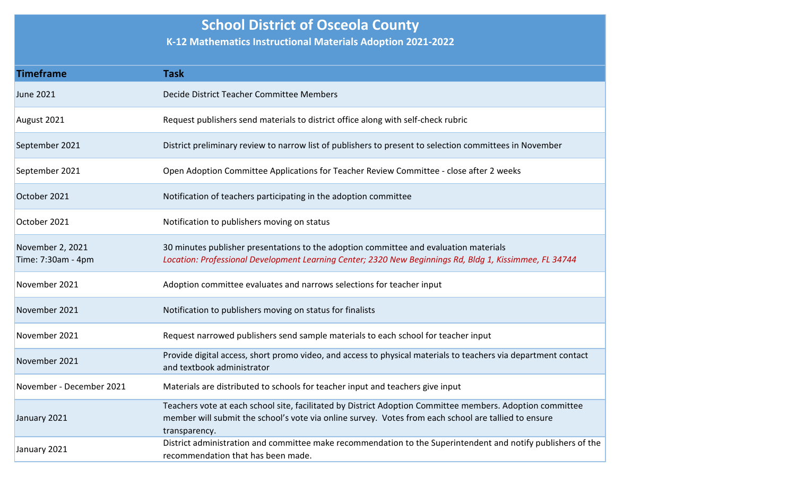## **School District of Osceola County**

**K-12 Mathematics Instructional Materials Adoption 2021-2022**

| <b>Timeframe</b>                       | <b>Task</b>                                                                                                                                                                                                                        |
|----------------------------------------|------------------------------------------------------------------------------------------------------------------------------------------------------------------------------------------------------------------------------------|
| <b>June 2021</b>                       | Decide District Teacher Committee Members                                                                                                                                                                                          |
| August 2021                            | Request publishers send materials to district office along with self-check rubric                                                                                                                                                  |
| September 2021                         | District preliminary review to narrow list of publishers to present to selection committees in November                                                                                                                            |
| September 2021                         | Open Adoption Committee Applications for Teacher Review Committee - close after 2 weeks                                                                                                                                            |
| October 2021                           | Notification of teachers participating in the adoption committee                                                                                                                                                                   |
| October 2021                           | Notification to publishers moving on status                                                                                                                                                                                        |
| November 2, 2021<br>Time: 7:30am - 4pm | 30 minutes publisher presentations to the adoption committee and evaluation materials<br>Location: Professional Development Learning Center; 2320 New Beginnings Rd, Bldg 1, Kissimmee, FL 34744                                   |
| November 2021                          | Adoption committee evaluates and narrows selections for teacher input                                                                                                                                                              |
| November 2021                          | Notification to publishers moving on status for finalists                                                                                                                                                                          |
| November 2021                          | Request narrowed publishers send sample materials to each school for teacher input                                                                                                                                                 |
| November 2021                          | Provide digital access, short promo video, and access to physical materials to teachers via department contact<br>and textbook administrator                                                                                       |
| November - December 2021               | Materials are distributed to schools for teacher input and teachers give input                                                                                                                                                     |
| January 2021                           | Teachers vote at each school site, facilitated by District Adoption Committee members. Adoption committee<br>member will submit the school's vote via online survey. Votes from each school are tallied to ensure<br>transparency. |
| January 2021                           | District administration and committee make recommendation to the Superintendent and notify publishers of the<br>recommendation that has been made.                                                                                 |